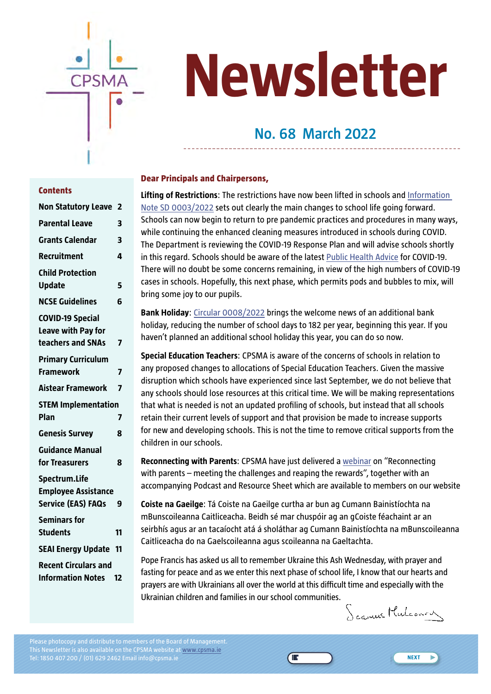

# **Newsletter**

## **No. 68 March 2022**

#### **Dear Principals and Chairpersons,**

**Lifting of Restrictions**: The restrictions have now been lifted in schools and [Information](https://www.cpsma.ie/wp-content/uploads/2022/02/Information-Note-SD-0003_2022-23-Feb-2022-FINAL.pdf)  [Note SD 0003/2022](https://www.cpsma.ie/wp-content/uploads/2022/02/Information-Note-SD-0003_2022-23-Feb-2022-FINAL.pdf) sets out clearly the main changes to school life going forward. Schools can now begin to return to pre pandemic practices and procedures in many ways, while continuing the enhanced cleaning measures introduced in schools during COVID. The Department is reviewing the COVID-19 Response Plan and will advise schools shortly in this regard. Schools should be aware of the latest [Public Health Advice](https://www.cpsma.ie/wp-content/uploads/2022/02/Public-Health-advice-for-the-management-of-cases-and-contacts-of-COVID-1919203.pdf) for COVID-19. There will no doubt be some concerns remaining, in view of the high numbers of COVID-19 cases in schools. Hopefully, this next phase, which permits pods and bubbles to mix, will bring some joy to our pupils.

**Bank Holiday**: [Circular 0008/2022](https://www.gov.ie/en/circular/8ce5f-new-public-holiday-from-2022/) brings the welcome news of an additional bank holiday, reducing the number of school days to 182 per year, beginning this year. If you haven't planned an additional school holiday this year, you can do so now.

**Special Education Teachers**: CPSMA is aware of the concerns of schools in relation to any proposed changes to allocations of Special Education Teachers. Given the massive disruption which schools have experienced since last September, we do not believe that any schools should lose resources at this critical time. We will be making representations that what is needed is not an updated profiling of schools, but instead that all schools retain their current levels of support and that provision be made to increase supports for new and developing schools. This is not the time to remove critical supports from the children in our schools.

**Reconnecting with Parents**: CPSMA have just delivered a [webinar](https://www.cpsma.ie/toolkit/) on "Reconnecting with parents – meeting the challenges and reaping the rewards", together with an accompanying Podcast and Resource Sheet which are available to members on our website

**Coiste na Gaeilge**: Tá Coiste na Gaeilge curtha ar bun ag Cumann Bainistíochta na mBunscoileanna Caitliceacha. Beidh sé mar chuspóir ag an gCoiste féachaint ar an seirbhís agus ar an tacaíocht atá á sholáthar ag Cumann Bainistíochta na mBunscoileanna Caitliceacha do na Gaelscoileanna agus scoileanna na Gaeltachta.

Pope Francis has asked us all to remember Ukraine this Ash Wednesday, with prayer and fasting for peace and as we enter this next phase of school life, I know that our hearts and prayers are with Ukrainians all over the world at this difficult time and especially with the Ukrainian children and families in our school communities.

Œ

Seamus Mulconon

**NEXT**

F

#### **Contents**

| <b>Non Statutory Leave</b>                                                | 2  |
|---------------------------------------------------------------------------|----|
| <b>Parental Leave</b>                                                     | 3  |
| <b>Grants Calendar</b>                                                    | 3  |
| <b>Recruitment</b>                                                        | 4  |
| <b>Child Protection</b><br><b>Update</b>                                  | 5  |
| <b>NCSE Guidelines</b>                                                    | 6  |
| <b>COVID-19 Special</b><br><b>Leave with Pay for</b><br>teachers and SNAs | 7  |
| <b>Primary Curriculum</b><br><b>Framework</b>                             | 7  |
| <b>Aistear Framework</b>                                                  | 7  |
| <b>STEM Implementation</b><br>Plan                                        | 7  |
| <b>Genesis Survey</b>                                                     | 8  |
| <b>Guidance Manual</b><br>for Treasurers                                  | 8  |
| Spectrum.Life<br><b>Employee Assistance</b><br><b>Service (EAS) FAQs</b>  | 9  |
| <b>Seminars for</b><br><b>Students</b>                                    | 11 |
| <b>SEAI Energy Update</b>                                                 | 11 |
| <b>Recent Circulars and</b><br><b>Information Notes</b>                   | 12 |

Please photocopy and distribute to members of the Board of Management. This Newsletter is also available on the CPSMA website at [www.cpsma.ie](http://www.cpsma.ie) Tel: 1850 407 200 / (01) 629 2462 Email info@cpsma.ie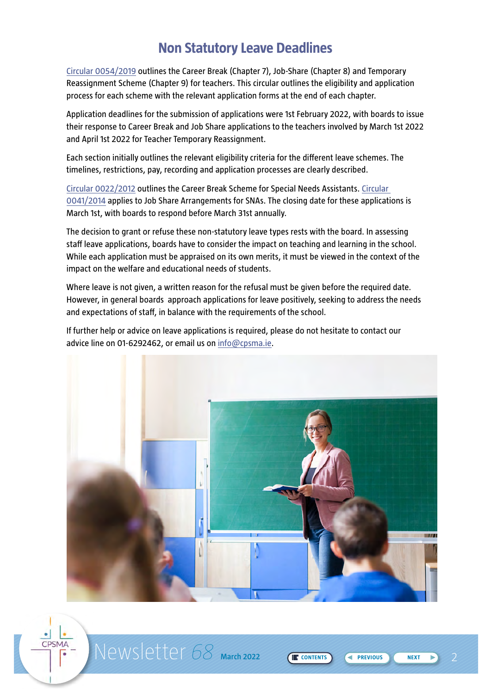## **Non Statutory Leave Deadlines**

<span id="page-1-0"></span>[Circular 0054/2019](https://www.gov.ie/en/circular/leave-schemes-for-registered-teachers-in-primary-post-primary-schools/) outlines the Career Break (Chapter 7), Job-Share (Chapter 8) and Temporary Reassignment Scheme (Chapter 9) for teachers. This circular outlines the eligibility and application process for each scheme with the relevant application forms at the end of each chapter.

Application deadlines for the submission of applications were 1st February 2022, with boards to issue their response to Career Break and Job Share applications to the teachers involved by March 1st 2022 and April 1st 2022 for Teacher Temporary Reassignment.

Each section initially outlines the relevant eligibility criteria for the different leave schemes. The timelines, restrictions, pay, recording and application processes are clearly described.

[Circular 0022/2012](https://www.gov.ie/en/circular/ed6ccd9ab76547a3952268d2c6460d99/) outlines the Career Break Scheme for Special Needs Assistants. [Circular](https://www.gov.ie/en/circular/8ea2c0da175d4fdfbf0e15be9ca0a46d/)  [0041/2014](https://www.gov.ie/en/circular/8ea2c0da175d4fdfbf0e15be9ca0a46d/) applies to Job Share Arrangements for SNAs. The closing date for these applications is March 1st, with boards to respond before March 31st annually.

The decision to grant or refuse these non-statutory leave types rests with the board. In assessing staff leave applications, boards have to consider the impact on teaching and learning in the school. While each application must be appraised on its own merits, it must be viewed in the context of the impact on the welfare and educational needs of students.

Where leave is not given, a written reason for the refusal must be given before the required date. However, in general boards approach applications for leave positively, seeking to address the needs and expectations of staff, in balance with the requirements of the school.

If further help or advice on leave applications is required, please do not hesitate to contact our advice line on 01-6292462, or email us on [info@cpsma.ie](mailto:info%40cpsma.ie?subject=).



Newsletter 68 March 2022 **2 22 22 23 CE CONTENTS** 

CPSMA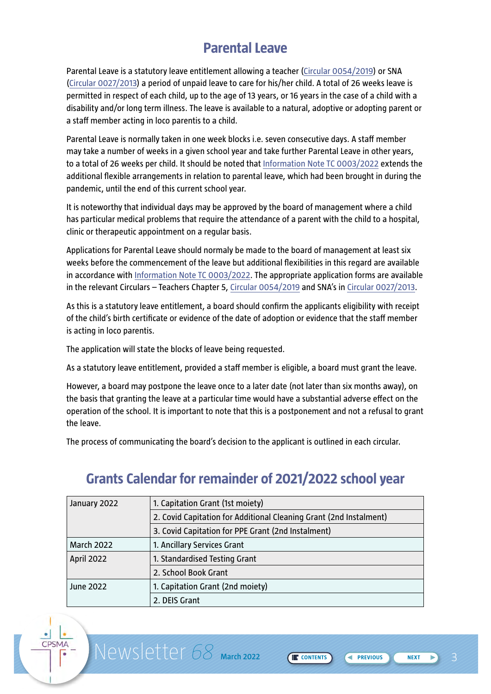## **Parental Leave**

<span id="page-2-0"></span>Parental Leave is a statutory leave entitlement allowing a teacher [\(Circular 0054/2019](https://www.gov.ie/en/circular/leave-schemes-for-registered-teachers-in-primary-post-primary-schools/)) or SNA [\(Circular 0027/2013\)](https://www.gov.ie/en/circular/06a436179ff349f6a7142eba91276b99/) a period of unpaid leave to care for his/her child. A total of 26 weeks leave is permitted in respect of each child, up to the age of 13 years, or 16 years in the case of a child with a disability and/or long term illness. The leave is available to a natural, adoptive or adopting parent or a staff member acting in loco parentis to a child.

Parental Leave is normally taken in one week blocks i.e. seven consecutive days. A staff member may take a number of weeks in a given school year and take further Parental Leave in other years, to a total of 26 weeks per child. It should be noted that [Information Note TC 0003/2022](https://assets.gov.ie/216890/4c4f586d-df0e-48bd-8873-e6f4c197cfd0.pdf) extends the additional flexible arrangements in relation to parental leave, which had been brought in during the pandemic, until the end of this current school year.

It is noteworthy that individual days may be approved by the board of management where a child has particular medical problems that require the attendance of a parent with the child to a hospital, clinic or therapeutic appointment on a regular basis.

Applications for Parental Leave should normaly be made to the board of management at least six weeks before the commencement of the leave but additional flexibilities in this regard are available in accordance with [Information Note TC 0003/2022.](https://assets.gov.ie/216890/4c4f586d-df0e-48bd-8873-e6f4c197cfd0.pdf) The appropriate application forms are available in the relevant Circulars – Teachers Chapter 5, [Circular 0054/2019](https://www.gov.ie/en/circular/leave-schemes-for-registered-teachers-in-primary-post-primary-schools/) and SNA's in [Circular 0027/2013](https://www.gov.ie/en/circular/06a436179ff349f6a7142eba91276b99/).

As this is a statutory leave entitlement, a board should confirm the applicants eligibility with receipt of the child's birth certificate or evidence of the date of adoption or evidence that the staff member is acting in loco parentis.

The application will state the blocks of leave being requested.

As a statutory leave entitlement, provided a staff member is eligible, a board must grant the leave.

However, a board may postpone the leave once to a later date (not later than six months away), on the basis that granting the leave at a particular time would have a substantial adverse effect on the operation of the school. It is important to note that this is a postponement and not a refusal to grant the leave.

The process of communicating the board's decision to the applicant is outlined in each circular.

| January 2022      | 1. Capitation Grant (1st moiety)                                   |  |  |
|-------------------|--------------------------------------------------------------------|--|--|
|                   | 2. Covid Capitation for Additional Cleaning Grant (2nd Instalment) |  |  |
|                   | 3. Covid Capitation for PPE Grant (2nd Instalment)                 |  |  |
| <b>March 2022</b> | 1. Ancillary Services Grant                                        |  |  |
| <b>April 2022</b> | 1. Standardised Testing Grant                                      |  |  |
|                   | 2. School Book Grant                                               |  |  |
| June 2022         | 1. Capitation Grant (2nd moiety)                                   |  |  |
|                   | 2. DEIS Grant                                                      |  |  |

**CONTENTS** 

## **Grants Calendar for remainder of 2021/2022 school year**

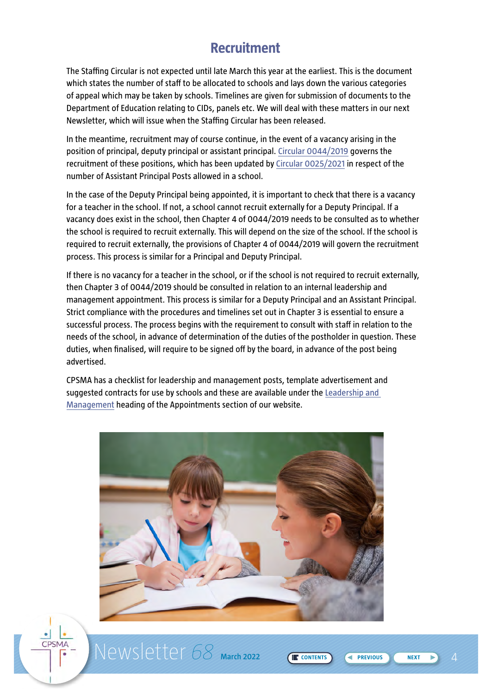## **Recruitment**

<span id="page-3-0"></span>The Staffing Circular is not expected until late March this year at the earliest. This is the document which states the number of staff to be allocated to schools and lays down the various categories of appeal which may be taken by schools. Timelines are given for submission of documents to the Department of Education relating to CIDs, panels etc. We will deal with these matters in our next Newsletter, which will issue when the Staffing Circular has been released.

In the meantime, recruitment may of course continue, in the event of a vacancy arising in the position of principal, deputy principal or assistant principal. [Circular 0044/2019](https://assets.gov.ie/24995/e169bbffb0f24310bedab23951edb945.pdf) governs the recruitment of these positions, which has been updated by [Circular 0025/2021](https://assets.gov.ie/204832/05d248fe-6245-44ca-9659-f0d2aaa8b853.pdf) in respect of the number of Assistant Principal Posts allowed in a school.

In the case of the Deputy Principal being appointed, it is important to check that there is a vacancy for a teacher in the school. If not, a school cannot recruit externally for a Deputy Principal. If a vacancy does exist in the school, then Chapter 4 of 0044/2019 needs to be consulted as to whether the school is required to recruit externally. This will depend on the size of the school. If the school is required to recruit externally, the provisions of Chapter 4 of 0044/2019 will govern the recruitment process. This process is similar for a Principal and Deputy Principal.

If there is no vacancy for a teacher in the school, or if the school is not required to recruit externally, then Chapter 3 of 0044/2019 should be consulted in relation to an internal leadership and management appointment. This process is similar for a Deputy Principal and an Assistant Principal. Strict compliance with the procedures and timelines set out in Chapter 3 is essential to ensure a successful process. The process begins with the requirement to consult with staff in relation to the needs of the school, in advance of determination of the duties of the postholder in question. These duties, when finalised, will require to be signed off by the board, in advance of the post being advertised.

CPSMA has a checklist for leadership and management posts, template advertisement and suggested contracts for use by schools and these are available under the [Leadership and](https://www.cpsma.ie/members/documents/?type=appointments#)  [Management](https://www.cpsma.ie/members/documents/?type=appointments#) heading of the Appointments section of our website.



Newsletter 68 March 2022 (E CONTENTS) < PREVIOUS

**CONTENTS** 

CPSMA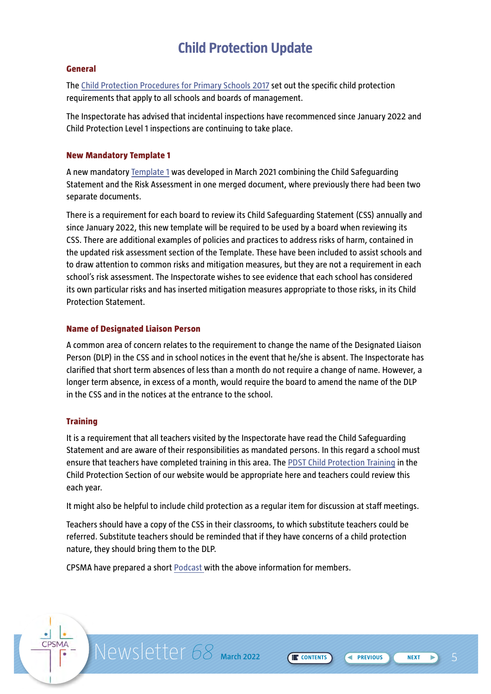## **Child Protection Update**

#### <span id="page-4-0"></span>**General**

The [Child Protection Procedures for Primary Schools 2017](https://www.gov.ie/en/publication/fe465-child-protection-procedures-for-primary-and-post-primary-schools-2017/) set out the specific child protection requirements that apply to all schools and boards of management.

The Inspectorate has advised that incidental inspections have recommenced since January 2022 and Child Protection Level 1 inspections are continuing to take place.

#### **New Mandatory Template 1**

A new mandatory [Template 1](https://www.cpsma.ie/wp-content/uploads/2019/04/mandatory-template-1-1.docx) was developed in March 2021 combining the Child Safeguarding Statement and the Risk Assessment in one merged document, where previously there had been two separate documents.

There is a requirement for each board to review its Child Safeguarding Statement (CSS) annually and since January 2022, this new template will be required to be used by a board when reviewing its CSS. There are additional examples of policies and practices to address risks of harm, contained in the updated risk assessment section of the Template. These have been included to assist schools and to draw attention to common risks and mitigation measures, but they are not a requirement in each school's risk assessment. The Inspectorate wishes to see evidence that each school has considered its own particular risks and has inserted mitigation measures appropriate to those risks, in its Child Protection Statement.

#### **Name of Designated Liaison Person**

A common area of concern relates to the requirement to change the name of the Designated Liaison Person (DLP) in the CSS and in school notices in the event that he/she is absent. The Inspectorate has clarified that short term absences of less than a month do not require a change of name. However, a longer term absence, in excess of a month, would require the board to amend the name of the DLP in the CSS and in the notices at the entrance to the school.

#### **Training**

CPSMA

It is a requirement that all teachers visited by the Inspectorate have read the Child Safeguarding Statement and are aware of their responsibilities as mandated persons. In this regard a school must ensure that teachers have completed training in this area. The [PDST Child Protection Training](http://dlp3.pdst.ie/allp/story_html5.html) in the Child Protection Section of our website would be appropriate here and teachers could review this each year.

It might also be helpful to include child protection as a regular item for discussion at staff meetings.

Teachers should have a copy of the CSS in their classrooms, to which substitute teachers could be referred. Substitute teachers should be reminded that if they have concerns of a child protection nature, they should bring them to the DLP.

Newsletter 68 March 2022 **5 CONTENTS** 

**CONTENTS** 

CPSMA have prepared [a short Podcast](https://anchor.fm/seamus-mulconry/episodes/Reconnecting-With-Parents-meeting-the-challenges-and-reaping-the-benefits-e1edn3r) with the above information for members.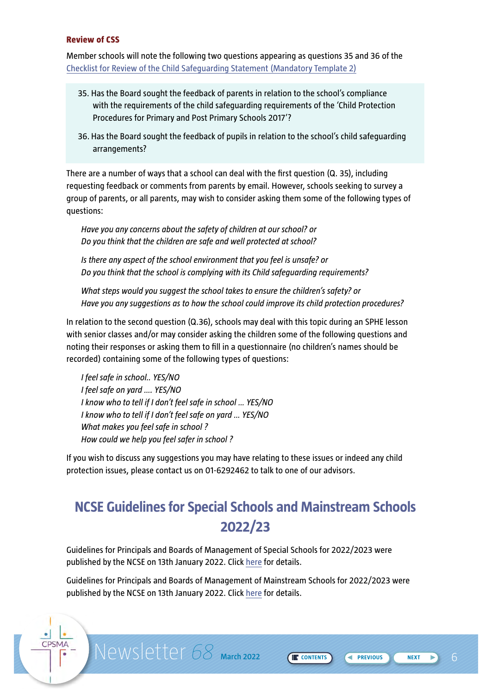#### <span id="page-5-0"></span>**Review of CSS**

CPSMA

Member schools will note the following two questions appearing as questions 35 and 36 of the [Checklist for Review of the Child Safeguarding Statement \(Mandatory Template 2\)](https://assets.gov.ie/47215/1409ccefdd27421b9124dc22114ec33b.docx)

- 35. Has the Board sought the feedback of parents in relation to the school's compliance with the requirements of the child safeguarding requirements of the 'Child Protection Procedures for Primary and Post Primary Schools 2017'?
- 36. Has the Board sought the feedback of pupils in relation to the school's child safeguarding arrangements?

There are a number of ways that a school can deal with the first question (Q. 35), including requesting feedback or comments from parents by email. However, schools seeking to survey a group of parents, or all parents, may wish to consider asking them some of the following types of questions:

*Have you any concerns about the safety of children at our school? or Do you think that the children are safe and well protected at school?*

*Is there any aspect of the school environment that you feel is unsafe? or Do you think that the school is complying with its Child safeguarding requirements?*

*What steps would you suggest the school takes to ensure the children's safety? or Have you any suggestions as to how the school could improve its child protection procedures?*

In relation to the second question (Q.36), schools may deal with this topic during an SPHE lesson with senior classes and/or may consider asking the children some of the following questions and noting their responses or asking them to fill in a questionnaire (no children's names should be recorded) containing some of the following types of questions:

*I feel safe in school.. YES/NO I feel safe on yard …. YES/NO I know who to tell if I don't feel safe in school … YES/NO I know who to tell if I don't feel safe on yard … YES/NO What makes you feel safe in school ? How could we help you feel safer in school ?*

If you wish to discuss any suggestions you may have relating to these issues or indeed any child protection issues, please contact us on 01-6292462 to talk to one of our advisors.

## **NCSE Guidelines for Special Schools and Mainstream Schools 2022/23**

Guidelines for Principals and Boards of Management of Special Schools for 2022/2023 were published by the NCSE on 13th January 2022. Click [here](https://ncse.ie/guidelines-and-applications-forms-for-special-schools) for details.

Guidelines for Principals and Boards of Management of Mainstream Schools for 2022/2023 were published by the NCSE on 13th January 2022. Click [here](https://ncse.ie/guidelines-and-applications-forms-for-mainstream-schools-with-special-classes) for details.

Newsletter 68 March 2022 (ECONTENTS) GREVIOUS NEXT 6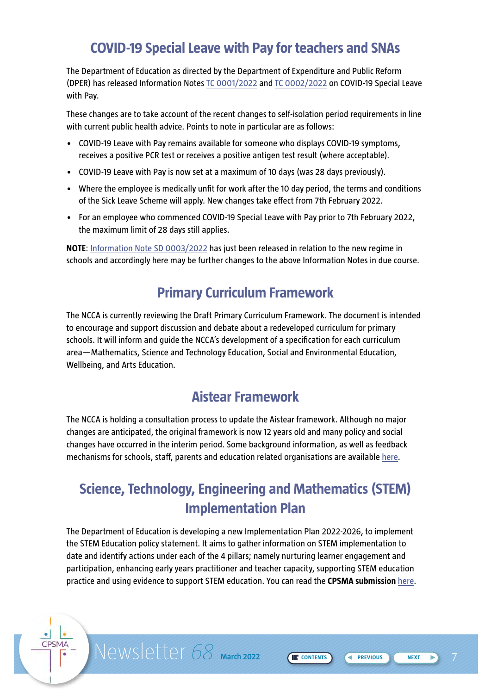## **COVID-19 Special Leave with Pay for teachers and SNAs**

<span id="page-6-0"></span>The Department of Education as directed by the Department of Expenditure and Public Reform (DPER) has released [Information Notes TC 0001/2022](https://assets.gov.ie/213399/71ec2cea-3cb9-4468-877c-8f8327ad00c8.pdf) and [TC 0002/2022](https://assets.gov.ie/215013/2b6709ff-782d-420a-8c94-5569e667e7e6.pdf) on COVID-19 Special Leave with Pay.

These changes are to take account of the recent changes to self-isolation period requirements in line with current public health advice. Points to note in particular are as follows:

- COVID-19 Leave with Pay remains available for someone who displays COVID-19 symptoms, receives a positive PCR test or receives a positive antigen test result (where acceptable).
- COVID-19 Leave with Pay is now set at a maximum of 10 days (was 28 days previously).
- Where the employee is medically unfit for work after the 10 day period, the terms and conditions of the Sick Leave Scheme will apply. New changes take effect from 7th February 2022.
- For an employee who commenced COVID-19 Special Leave with Pay prior to 7th February 2022, the maximum limit of 28 days still applies.

**NOTE**: [Information Note SD 0003/2022](https://www.cpsma.ie/wp-content/uploads/2022/02/Information-Note-SD-0003_2022-23-Feb-2022-FINAL.pdf) has just been released in relation to the new regime in schools and accordingly here may be further changes to the above Information Notes in due course.

## **Primary Curriculum Framework**

The NCCA is currently reviewing the Draft Primary Curriculum Framework. The document is intended to encourage and support discussion and debate about a redeveloped curriculum for primary schools. It will inform and guide the NCCA's development of a specification for each curriculum area—Mathematics, Science and Technology Education, Social and Environmental Education, Wellbeing, and Arts Education.

## **Aistear Framework**

The NCCA is holding a consultation process to update the Aistear framework. Although no major changes are anticipated, the original framework is now 12 years old and many policy and social changes have occurred in the interim period. Some background information, as well as feedback mechanisms for schools, staff, parents and education related organisations are available [here.](https://ncca.ie/en/early-childhood/early-childhood-education-developments/updating-aistear/)

## **Science, Technology, Engineering and Mathematics (STEM) Implementation Plan**

The Department of Education is developing a new Implementation Plan 2022-2026, to implement the STEM Education policy statement. It aims to gather information on STEM implementation to date and identify actions under each of the 4 pillars; namely nurturing learner engagement and participation, enhancing early years practitioner and teacher capacity, supporting STEM education practice and using evidence to support STEM education. You can read the **CPSMA submission** [here.](https://www.cpsma.ie/wp-content/uploads/2022/01/2022-CPSMA-Submission-on-STEM-Implementation-Plan-2022-2026.pdf)

CPSMA

Newsletter 68 March 2022 **FONTENTS** 

**CONTENTS REVIOUS**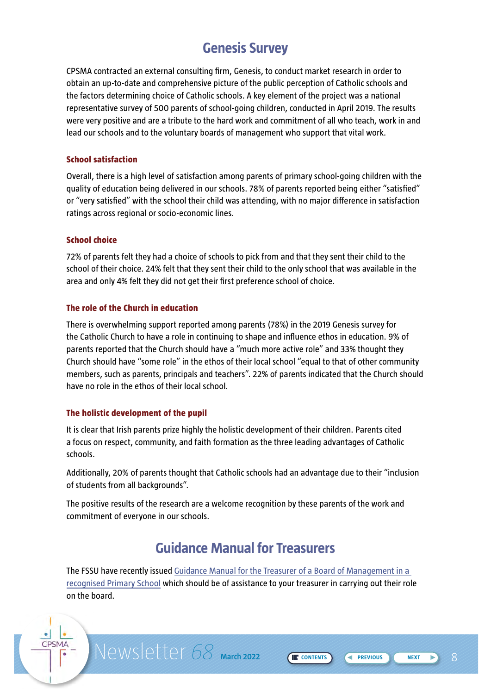## **Genesis Survey**

<span id="page-7-0"></span>CPSMA contracted an external consulting firm, Genesis, to conduct market research in order to obtain an up-to-date and comprehensive picture of the public perception of Catholic schools and the factors determining choice of Catholic schools. A key element of the project was a national representative survey of 500 parents of school-going children, conducted in April 2019. The results were very positive and are a tribute to the hard work and commitment of all who teach, work in and lead our schools and to the voluntary boards of management who support that vital work.

#### **School satisfaction**

Overall, there is a high level of satisfaction among parents of primary school-going children with the quality of education being delivered in our schools. 78% of parents reported being either "satisfied" or "very satisfied" with the school their child was attending, with no major difference in satisfaction ratings across regional or socio-economic lines.

#### **School choice**

CPSMA

72% of parents felt they had a choice of schools to pick from and that they sent their child to the school of their choice. 24% felt that they sent their child to the only school that was available in the area and only 4% felt they did not get their first preference school of choice.

#### **The role of the Church in education**

There is overwhelming support reported among parents (78%) in the 2019 Genesis survey for the Catholic Church to have a role in continuing to shape and influence ethos in education. 9% of parents reported that the Church should have a "much more active role" and 33% thought they Church should have "some role" in the ethos of their local school "equal to that of other community members, such as parents, principals and teachers". 22% of parents indicated that the Church should have no role in the ethos of their local school.

#### **The holistic development of the pupil**

It is clear that Irish parents prize highly the holistic development of their children. Parents cited a focus on respect, community, and faith formation as the three leading advantages of Catholic schools.

Additionally, 20% of parents thought that Catholic schools had an advantage due to their "inclusion of students from all backgrounds".

The positive results of the research are a welcome recognition by these parents of the work and commitment of everyone in our schools.

## **Guidance Manual for Treasurers**

The FSSU have recently issued [Guidance Manual for the Treasurer of a Board of Management in a](https://www.fssu.ie/app/uploads/2022/02/Guidance-Manual-for-Treasurers.pdf)  [recognised Primary School](https://www.fssu.ie/app/uploads/2022/02/Guidance-Manual-for-Treasurers.pdf) which should be of assistance to your treasurer in carrying out their role on the board.

Newsletter 68 March 2022 (ECONTENTS) CREVIOUS NEXT B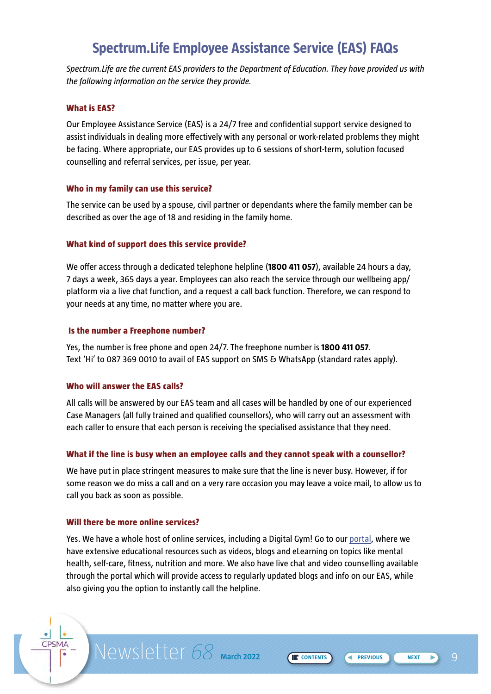## **Spectrum.Life Employee Assistance Service (EAS) FAQs**

<span id="page-8-0"></span>*Spectrum.Life are the current EAS providers to the Department of Education. They have provided us with the following information on the service they provide.*

#### **What is EAS?**

Our Employee Assistance Service (EAS) is a 24/7 free and confidential support service designed to assist individuals in dealing more effectively with any personal or work-related problems they might be facing. Where appropriate, our EAS provides up to 6 sessions of short-term, solution focused counselling and referral services, per issue, per year.

#### **Who in my family can use this service?**

The service can be used by a spouse, civil partner or dependants where the family member can be described as over the age of 18 and residing in the family home.

#### **What kind of support does this service provide?**

We offer access through a dedicated telephone helpline (**1800 411 057**), available 24 hours a day, 7 days a week, 365 days a year. Employees can also reach the service through our wellbeing app/ platform via a live chat function, and a request a call back function. Therefore, we can respond to your needs at any time, no matter where you are.

#### **Is the number a Freephone number?**

Yes, the number is free phone and open 24/7. The freephone number is **1800 411 057**. Text 'Hi' to 087 369 0010 to avail of EAS support on SMS & WhatsApp (standard rates apply).

#### **Who will answer the EAS calls?**

All calls will be answered by our EAS team and all cases will be handled by one of our experienced Case Managers (all fully trained and qualified counsellors), who will carry out an assessment with each caller to ensure that each person is receiving the specialised assistance that they need.

#### **What if the line is busy when an employee calls and they cannot speak with a counsellor?**

We have put in place stringent measures to make sure that the line is never busy. However, if for some reason we do miss a call and on a very rare occasion you may leave a voice mail, to allow us to call you back as soon as possible.

#### **Will there be more online services?**

CPSMA

Yes. We have a whole host of online services, including a Digital Gym! Go to our [portal,](https://wellbeingtogether.spectrum.life/) where we have extensive educational resources such as videos, blogs and eLearning on topics like mental health, self-care, fitness, nutrition and more. We also have live chat and video counselling available through the portal which will provide access to regularly updated blogs and info on our EAS, while also giving you the option to instantly call the helpline.

Newsletter 68 March 2022 (ECONTENTS) G PREVIOUS NEXT D

**CONTENTS PREVIOUS**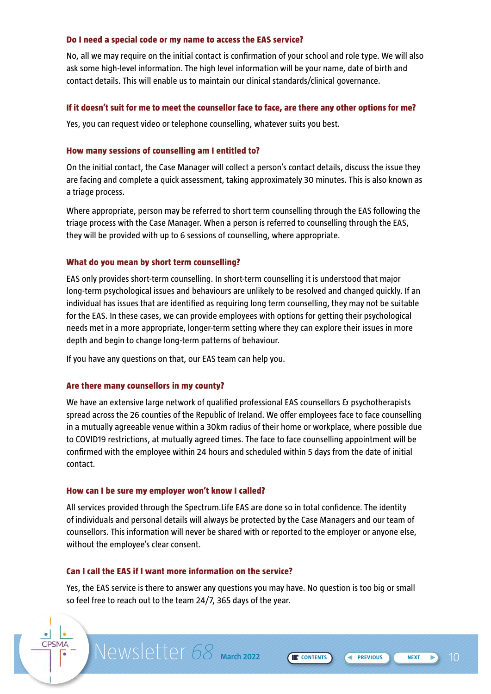#### **Do I need a special code or my name to access the EAS service?**

No, all we may require on the initial contact is confirmation of your school and role type. We will also ask some high-level information. The high level information will be your name, date of birth and contact details. This will enable us to maintain our clinical standards/clinical governance.

#### **If it doesn't suit for me to meet the counsellor face to face, are there any other options for me?**

Yes, you can request video or telephone counselling, whatever suits you best.

#### **How many sessions of counselling am I entitled to?**

On the initial contact, the Case Manager will collect a person's contact details, discuss the issue they are facing and complete a quick assessment, taking approximately 30 minutes. This is also known as a triage process.

Where appropriate, person may be referred to short term counselling through the EAS following the triage process with the Case Manager. When a person is referred to counselling through the EAS, they will be provided with up to 6 sessions of counselling, where appropriate.

#### **What do you mean by short term counselling?**

EAS only provides short-term counselling. In short-term counselling it is understood that major long-term psychological issues and behaviours are unlikely to be resolved and changed quickly. If an individual has issues that are identified as requiring long term counselling, they may not be suitable for the EAS. In these cases, we can provide employees with options for getting their psychological needs met in a more appropriate, longer-term setting where they can explore their issues in more depth and begin to change long-term patterns of behaviour.

If you have any questions on that, our EAS team can help you.

#### **Are there many counsellors in my county?**

We have an extensive large network of qualified professional EAS counsellors & psychotherapists spread across the 26 counties of the Republic of Ireland. We offer employees face to face counselling in a mutually agreeable venue within a 30km radius of their home or workplace, where possible due to COVID19 restrictions, at mutually agreed times. The face to face counselling appointment will be confirmed with the employee within 24 hours and scheduled within 5 days from the date of initial contact.

#### **How can I be sure my employer won't know I called?**

All services provided through the Spectrum.Life EAS are done so in total confidence. The identity of individuals and personal details will always be protected by the Case Managers and our team of counsellors. This information will never be shared with or reported to the employer or anyone else, without the employee's clear consent.

#### **Can I call the EAS if I want more information on the service?**

CPSMA

Yes, the EAS service is there to answer any questions you may have. No question is too big or small so feel free to reach out to the team 24/7, 365 days of the year.

**Newsletter 68** March 2022 (ECONTENTS) CREVIOUS (NEXT ) 10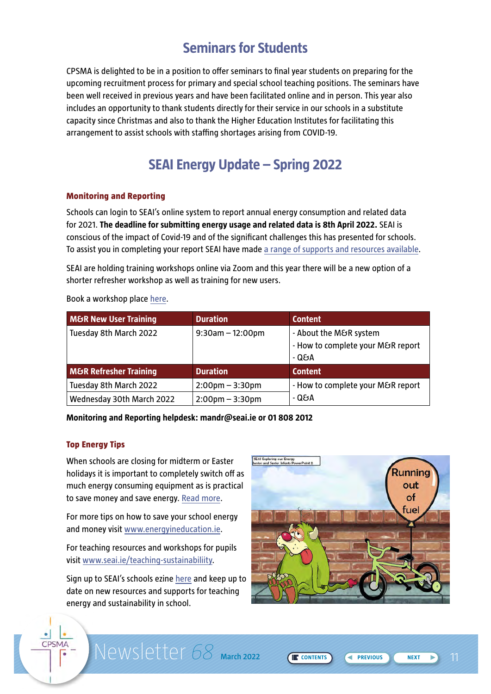## **Seminars for Students**

<span id="page-10-0"></span>CPSMA is delighted to be in a position to offer seminars to final year students on preparing for the upcoming recruitment process for primary and special school teaching positions. The seminars have been well received in previous years and have been facilitated online and in person. This year also includes an opportunity to thank students directly for their service in our schools in a substitute capacity since Christmas and also to thank the Higher Education Institutes for facilitating this arrangement to assist schools with staffing shortages arising from COVID-19.

## **SEAI Energy Update – Spring 2022**

#### **Monitoring and Reporting**

Schools can login to SEAI's online system to report annual energy consumption and related data for 2021. **The deadline for submitting energy usage and related data is 8th April 2022.** SEAI is conscious of the impact of Covid-19 and of the significant challenges this has presented for schools. To assist you in completing your report SEAI have made [a range of supports and resources available.](https://www.seai.ie/business-and-public-sector/public-sector/monitoring-and-reporting/for-schools/)

SEAI are holding training workshops online via Zoom and this year there will be a new option of a shorter refresher workshop as well as training for new users.

Book a workshop place [here.](visit https://seaimonitoringandreporting.eventbrite.ie )

| <b>M&amp;R New User Training</b>  | <b>Duration</b>                   | <b>Content</b>                                                       |
|-----------------------------------|-----------------------------------|----------------------------------------------------------------------|
| Tuesday 8th March 2022            | $9:30$ am $-12:00$ pm             | - About the M&R system<br>- How to complete your M&R report<br>- Q&A |
| <b>M&amp;R Refresher Training</b> | <b>Duration</b>                   | <b>Content</b>                                                       |
| Tuesday 8th March 2022            | $2:00$ pm $-3:30$ pm              | - How to complete your M&R report                                    |
| Wednesday 30th March 2022         | $2:00 \text{pm} - 3:30 \text{pm}$ | - Q&A                                                                |

**Monitoring and Reporting helpdesk: mandr@seai.ie or 01 808 2012**

#### **Top Energy Tips**

CPSMA

When schools are closing for midterm or Easter holidays it is important to completely switch off as much energy consuming equipment as is practical to save money and save energy. [Read more](http://www.energyineducation.ie/Energy_In_Education/Information_for_Schools/Find_savings/Energy-In-Education-Switch-off-for-Holidays-Factsheet.pdf).

For more tips on how to save your school energy and money visit [www.energyineducation.ie](http://www.energyineducation.ie).

For teaching resources and workshops for pupils visit [www.seai.ie/teaching-sustainabiliity](http://www.seai.ie/teaching-sustainabiliity).

Sign up to SEAI's schools ezine [here](https://seai.us14.list-manage.com/subscribe?u=e071835b764dfe4c35e00538c&id=28ba2a2d9d) and keep up to date on new resources and supports for teaching energy and sustainability in school.



**Newsletter 68** March 2022 (ECONTENTS) (PREVIOUS (NEXT ) 11